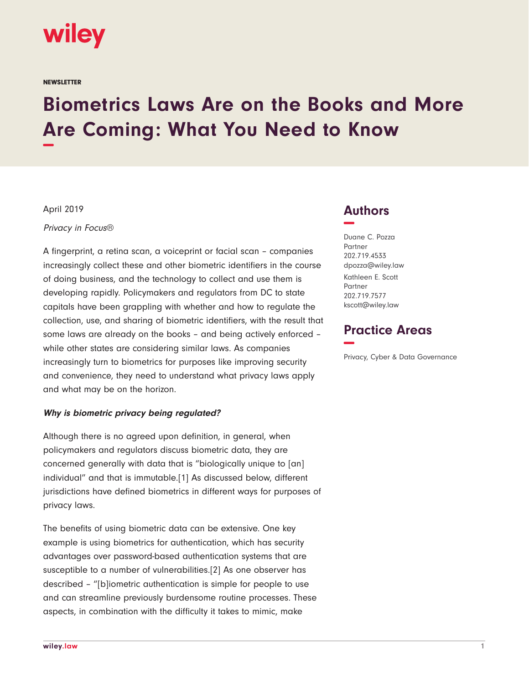

**NEWSLETTER** 

# **Biometrics Laws Are on the Books and More Are Coming: What You Need to Know −**

April 2019

Privacy in Focus®

A fingerprint, a retina scan, a voiceprint or facial scan – companies increasingly collect these and other biometric identifiers in the course of doing business, and the technology to collect and use them is developing rapidly. Policymakers and regulators from DC to state capitals have been grappling with whether and how to regulate the collection, use, and sharing of biometric identifiers, with the result that some laws are already on the books – and being actively enforced – while other states are considering similar laws. As companies increasingly turn to biometrics for purposes like improving security and convenience, they need to understand what privacy laws apply and what may be on the horizon.

#### **Why is biometric privacy being regulated?**

Although there is no agreed upon definition, in general, when policymakers and regulators discuss biometric data, they are concerned generally with data that is "biologically unique to [an] individual" and that is immutable.[1] As discussed below, different jurisdictions have defined biometrics in different ways for purposes of privacy laws.

The benefits of using biometric data can be extensive. One key example is using biometrics for authentication, which has security advantages over password-based authentication systems that are susceptible to a number of vulnerabilities.[2] As one observer has described – "[b]iometric authentication is simple for people to use and can streamline previously burdensome routine processes. These aspects, in combination with the difficulty it takes to mimic, make

# **Authors −**

Duane C. Pozza Partner 202.719.4533 dpozza@wiley.law Kathleen E. Scott Partner 202.719.7577 kscott@wiley.law

# **Practice Areas −**

Privacy, Cyber & Data Governance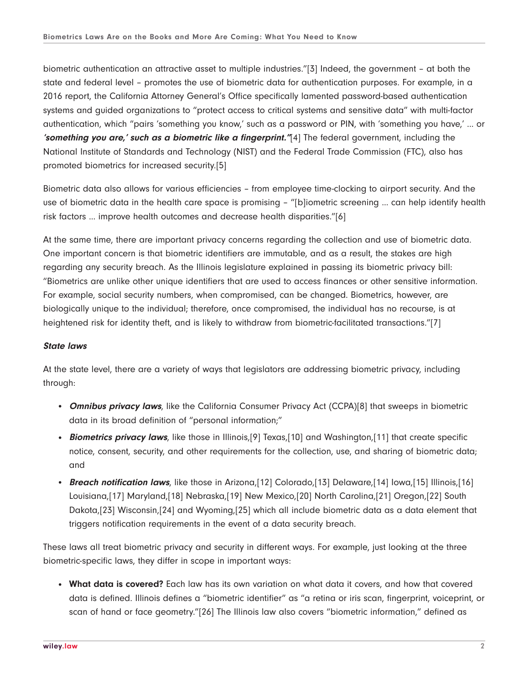biometric authentication an attractive asset to multiple industries."[3] Indeed, the government – at both the state and federal level – promotes the use of biometric data for authentication purposes. For example, in a 2016 report, the California Attorney General's Office specifically lamented password-based authentication systems and guided organizations to "protect access to critical systems and sensitive data" with multi-factor authentication, which "pairs 'something you know,' such as a password or PIN, with 'something you have,' ... or **'something you are,' such as a biometric like a fingerprint."**[4] The federal government, including the National Institute of Standards and Technology (NIST) and the Federal Trade Commission (FTC), also has promoted biometrics for increased security.[5]

Biometric data also allows for various efficiencies – from employee time-clocking to airport security. And the use of biometric data in the health care space is promising – "[b]iometric screening ... can help identify health risk factors ... improve health outcomes and decrease health disparities."[6]

At the same time, there are important privacy concerns regarding the collection and use of biometric data. One important concern is that biometric identifiers are immutable, and as a result, the stakes are high regarding any security breach. As the Illinois legislature explained in passing its biometric privacy bill: "Biometrics are unlike other unique identifiers that are used to access finances or other sensitive information. For example, social security numbers, when compromised, can be changed. Biometrics, however, are biologically unique to the individual; therefore, once compromised, the individual has no recourse, is at heightened risk for identity theft, and is likely to withdraw from biometric-facilitated transactions."[7]

#### **State laws**

At the state level, there are a variety of ways that legislators are addressing biometric privacy, including through:

- **Omnibus privacy laws**, like the California Consumer Privacy Act (CCPA)[8] that sweeps in biometric data in its broad definition of "personal information;"
- **Biometrics privacy laws**, like those in Illinois, [9] Texas, [10] and Washington, [11] that create specific notice, consent, security, and other requirements for the collection, use, and sharing of biometric data; and
- **Breach notification laws**, like those in Arizona,[12] Colorado,[13] Delaware,[14] Iowa,[15] Illinois,[16] Louisiana,[17] Maryland,[18] Nebraska,[19] New Mexico,[20] North Carolina,[21] Oregon,[22] South Dakota,[23] Wisconsin,[24] and Wyoming,[25] which all include biometric data as a data element that triggers notification requirements in the event of a data security breach.

These laws all treat biometric privacy and security in different ways. For example, just looking at the three biometric-specific laws, they differ in scope in important ways:

● **What data is covered?** Each law has its own variation on what data it covers, and how that covered data is defined. Illinois defines a "biometric identifier" as "a retina or iris scan, fingerprint, voiceprint, or scan of hand or face geometry."[26] The Illinois law also covers "biometric information," defined as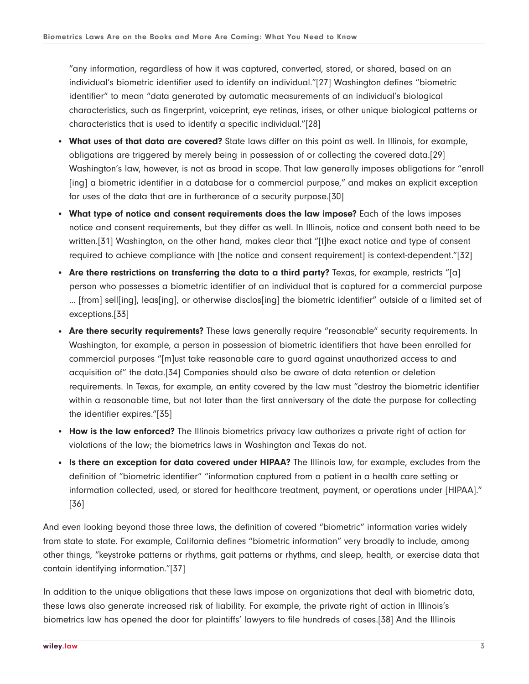"any information, regardless of how it was captured, converted, stored, or shared, based on an individual's biometric identifier used to identify an individual."[27] Washington defines "biometric identifier" to mean "data generated by automatic measurements of an individual's biological characteristics, such as fingerprint, voiceprint, eye retinas, irises, or other unique biological patterns or characteristics that is used to identify a specific individual."[28]

- **What uses of that data are covered?** State laws differ on this point as well. In Illinois, for example, obligations are triggered by merely being in possession of or collecting the covered data.[29] Washington's law, however, is not as broad in scope. That law generally imposes obligations for "enroll [ing] a biometric identifier in a database for a commercial purpose," and makes an explicit exception for uses of the data that are in furtherance of a security purpose.[30]
- **What type of notice and consent requirements does the law impose?** Each of the laws imposes notice and consent requirements, but they differ as well. In Illinois, notice and consent both need to be written.[31] Washington, on the other hand, makes clear that "[t]he exact notice and type of consent required to achieve compliance with [the notice and consent requirement] is context-dependent."[32]
- Are there restrictions on transferring the data to a third party? Texas, for example, restricts "[a] person who possesses a biometric identifier of an individual that is captured for a commercial purpose ... [from] sell[ing], leas[ing], or otherwise disclos[ing] the biometric identifier" outside of a limited set of exceptions.[33]
- **Are there security requirements?** These laws generally require "reasonable" security requirements. In Washington, for example, a person in possession of biometric identifiers that have been enrolled for commercial purposes "[m]ust take reasonable care to guard against unauthorized access to and acquisition of" the data.[34] Companies should also be aware of data retention or deletion requirements. In Texas, for example, an entity covered by the law must "destroy the biometric identifier within a reasonable time, but not later than the first anniversary of the date the purpose for collecting the identifier expires."[35]
- **How is the law enforced?** The Illinois biometrics privacy law authorizes a private right of action for violations of the law; the biometrics laws in Washington and Texas do not.
- Is there an exception for data covered under HIPAA? The Illinois law, for example, excludes from the definition of "biometric identifier" "information captured from a patient in a health care setting or information collected, used, or stored for healthcare treatment, payment, or operations under [HIPAA]." [36]

And even looking beyond those three laws, the definition of covered "biometric" information varies widely from state to state. For example, California defines "biometric information" very broadly to include, among other things, "keystroke patterns or rhythms, gait patterns or rhythms, and sleep, health, or exercise data that contain identifying information."[37]

In addition to the unique obligations that these laws impose on organizations that deal with biometric data, these laws also generate increased risk of liability. For example, the private right of action in Illinois's biometrics law has opened the door for plaintiffs' lawyers to file hundreds of cases.[38] And the Illinois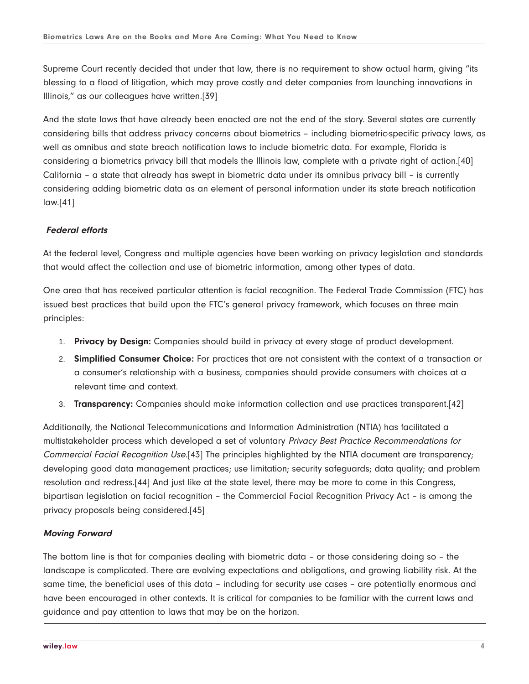Supreme Court recently decided that under that law, there is no requirement to show actual harm, giving "its blessing to a flood of litigation, which may prove costly and deter companies from launching innovations in Illinois," as our colleagues have written.[39]

And the state laws that have already been enacted are not the end of the story. Several states are currently considering bills that address privacy concerns about biometrics – including biometric-specific privacy laws, as well as omnibus and state breach notification laws to include biometric data. For example, Florida is considering a biometrics privacy bill that models the Illinois law, complete with a private right of action.[40] California – a state that already has swept in biometric data under its omnibus privacy bill – is currently considering adding biometric data as an element of personal information under its state breach notification law.[41]

### **Federal efforts**

At the federal level, Congress and multiple agencies have been working on privacy legislation and standards that would affect the collection and use of biometric information, among other types of data.

One area that has received particular attention is facial recognition. The Federal Trade Commission (FTC) has issued best practices that build upon the FTC's general privacy framework, which focuses on three main principles:

- 1. **Privacy by Design:** Companies should build in privacy at every stage of product development.
- 2. **Simplified Consumer Choice:** For practices that are not consistent with the context of a transaction or a consumer's relationship with a business, companies should provide consumers with choices at a relevant time and context.
- 3. **Transparency:** Companies should make information collection and use practices transparent.[42]

Additionally, the National Telecommunications and Information Administration (NTIA) has facilitated a multistakeholder process which developed a set of voluntary Privacy Best Practice Recommendations for Commercial Facial Recognition Use.[43] The principles highlighted by the NTIA document are transparency; developing good data management practices; use limitation; security safeguards; data quality; and problem resolution and redress.[44] And just like at the state level, there may be more to come in this Congress, bipartisan legislation on facial recognition – the Commercial Facial Recognition Privacy Act – is among the privacy proposals being considered.[45]

#### **Moving Forward**

The bottom line is that for companies dealing with biometric data – or those considering doing so – the landscape is complicated. There are evolving expectations and obligations, and growing liability risk. At the same time, the beneficial uses of this data – including for security use cases – are potentially enormous and have been encouraged in other contexts. It is critical for companies to be familiar with the current laws and guidance and pay attention to laws that may be on the horizon.  $\overline{a}$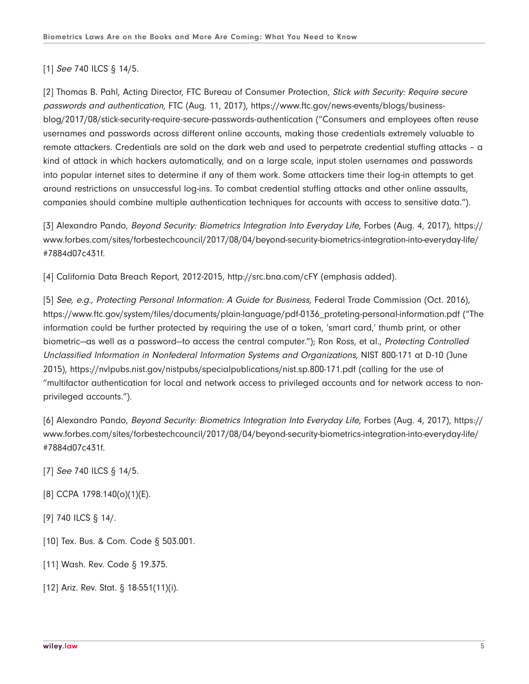## [1] See 740 ILCS § 14/5.

[2] Thomas B. Pahl, Acting Director, FTC Bureau of Consumer Protection, Stick with Security: Require secure passwords and authentication, FTC (Aug. 11, 2017), https://www.ftc.gov/news-events/blogs/businessblog/2017/08/stick-security-require-secure-passwords-authentication ("Consumers and employees often reuse usernames and passwords across different online accounts, making those credentials extremely valuable to remote attackers. Credentials are sold on the dark web and used to perpetrate credential stuffing attacks – a kind of attack in which hackers automatically, and on a large scale, input stolen usernames and passwords into popular internet sites to determine if any of them work. Some attackers time their log-in attempts to get around restrictions on unsuccessful log-ins. To combat credential stuffing attacks and other online assaults, companies should combine multiple authentication techniques for accounts with access to sensitive data.").

[3] Alexandro Pando, Beyond Security: Biometrics Integration Into Everyday Life, Forbes (Aug. 4, 2017), https:// www.forbes.com/sites/forbestechcouncil/2017/08/04/beyond-security-biometrics-integration-into-everyday-life/ #7884d07c431f.

[4] California Data Breach Report, 2012-2015, http://src.bna.com/cFY (emphasis added).

[5] See, e.g., Protecting Personal Information: A Guide for Business, Federal Trade Commission (Oct. 2016), https://www.ftc.gov/system/files/documents/plain-language/pdf-0136\_proteting-personal-information.pdf ("The information could be further protected by requiring the use of a token, 'smart card,' thumb print, or other biometric—as well as a password—to access the central computer."); Ron Ross, et al., Protecting Controlled Unclassified Information in Nonfederal Information Systems and Organizations, NIST 800-171 at D-10 (June 2015), https://nvlpubs.nist.gov/nistpubs/specialpublications/nist.sp.800-171.pdf (calling for the use of "multifactor authentication for local and network access to privileged accounts and for network access to nonprivileged accounts.").

[6] Alexandro Pando, Beyond Security: Biometrics Integration Into Everyday Life, Forbes (Aug. 4, 2017), https:// www.forbes.com/sites/forbestechcouncil/2017/08/04/beyond-security-biometrics-integration-into-everyday-life/ #7884d07c431f.

[7] See 740 ILCS § 14/5.

- [8] CCPA 1798.140(o)(1)(E).
- [9] 740 ILCS § 14/.
- [10] Tex. Bus. & Com. Code § 503.001.
- [11] Wash. Rev. Code § 19.375.
- [12] Ariz. Rev. Stat. § 18-551(11)(i).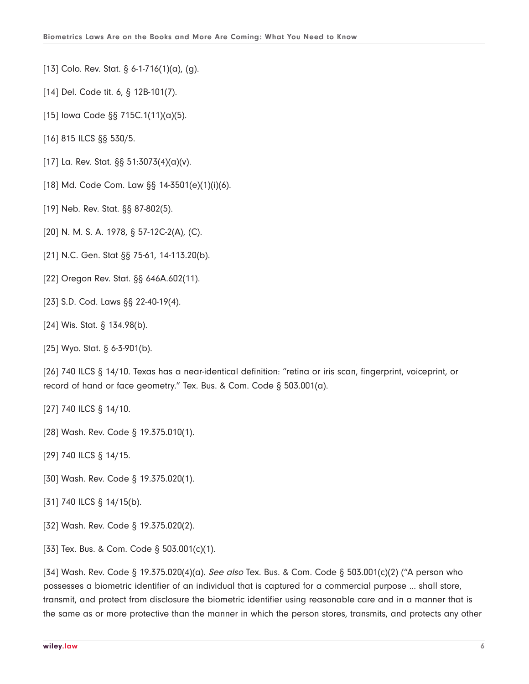- [13] Colo. Rev. Stat. § 6-1-716(1)(a), (g).
- [14] Del. Code tit. 6, § 12B-101(7).
- [15] Iowa Code §§ 715C.1(11)(a)(5).
- [16] 815 ILCS §§ 530/5.
- [17] La. Rev. Stat. §§ 51:3073(4)(a)(v).
- [18] Md. Code Com. Law §§ 14-3501(e)(1)(i)(6).
- [19] Neb. Rev. Stat. §§ 87-802(5).
- [20] N. M. S. A. 1978, § 57-12C-2(A), (C).
- [21] N.C. Gen. Stat §§ 75-61, 14-113.20(b).
- [22] Oregon Rev. Stat. §§ 646A.602(11).
- [23] S.D. Cod. Laws §§ 22-40-19(4).
- [24] Wis. Stat. § 134.98(b).
- [25] Wyo. Stat. § 6-3-901(b).

[26] 740 ILCS § 14/10. Texas has a near-identical definition: "retina or iris scan, fingerprint, voiceprint, or record of hand or face geometry." Tex. Bus. & Com. Code § 503.001(a).

- [27] 740 ILCS § 14/10.
- [28] Wash. Rev. Code § 19.375.010(1).
- [29] 740 ILCS § 14/15.
- [30] Wash. Rev. Code § 19.375.020(1).
- [31] 740 ILCS § 14/15(b).
- [32] Wash. Rev. Code § 19.375.020(2).
- [33] Tex. Bus. & Com. Code § 503.001(c)(1).

[34] Wash. Rev. Code § 19.375.020(4)(a). See also Tex. Bus. & Com. Code § 503.001(c)(2) ("A person who possesses a biometric identifier of an individual that is captured for a commercial purpose ... shall store, transmit, and protect from disclosure the biometric identifier using reasonable care and in a manner that is the same as or more protective than the manner in which the person stores, transmits, and protects any other